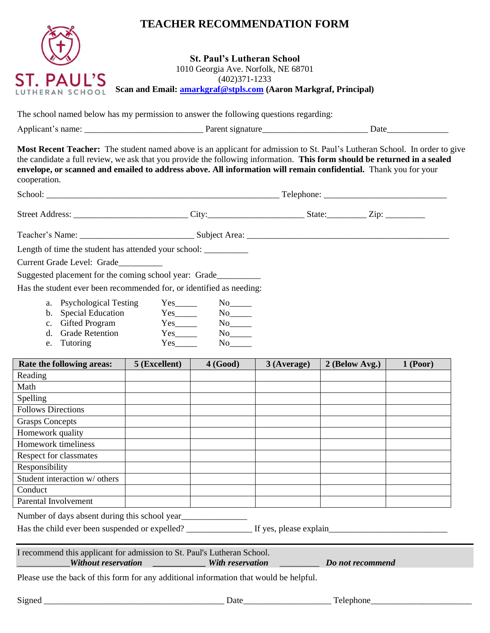## **TEACHER RECOMMENDATION FORM**



**St. Paul's Lutheran School** 1010 Georgia Ave. Norfolk, NE 68701 (402)371-1233 **Scan and Email: [amarkgraf@stpls.com](mailto:amarkgraf@stpls.com) (Aaron Markgraf, Principal)**

The school named below has my permission to answer the following questions regarding:

| Applicant'<br>name: | Jorant<br>signature<br>20 L L | Jate |
|---------------------|-------------------------------|------|
|                     |                               |      |

**Most Recent Teacher:** The student named above is an applicant for admission to St. Paul's Lutheran School. In order to give the candidate a full review, we ask that you provide the following information. **This form should be returned in a sealed envelope, or scanned and emailed to address above. All information will remain confidential.** Thank you for your cooperation.

| School:                                                                           | $\text{Telephone:}\n$ |        |  |  |
|-----------------------------------------------------------------------------------|-----------------------|--------|--|--|
| Street Address:                                                                   |                       | State: |  |  |
| Teacher's Name:                                                                   |                       |        |  |  |
| Length of time the student has attended your school: ____________________________ |                       |        |  |  |

Current Grade Level: Grade\_\_\_\_\_\_\_\_\_\_

Suggested placement for the coming school year: Grade\_\_\_\_\_\_\_\_\_\_\_\_\_\_\_\_\_\_\_\_\_\_\_\_\_\_\_

Has the student ever been recommended for, or identified as needing:

| a. | <b>Psychological Testing</b> | Yes | Nο |
|----|------------------------------|-----|----|
|    |                              |     |    |

- b. Special Education Yes\_\_\_\_\_ No\_\_\_\_
- c. Gifted Program Yes\_\_\_\_\_ No\_\_\_\_\_
- d. Grade Retention e. Tutoring Yes No
- 

| Rate the following areas:                      | 5 (Excellent) | 4(Good) | 3 (Average) | 2 (Below Avg.) | 1 (Poor) |
|------------------------------------------------|---------------|---------|-------------|----------------|----------|
| Reading                                        |               |         |             |                |          |
| Math                                           |               |         |             |                |          |
| Spelling                                       |               |         |             |                |          |
| <b>Follows Directions</b>                      |               |         |             |                |          |
| <b>Grasps Concepts</b>                         |               |         |             |                |          |
| Homework quality                               |               |         |             |                |          |
| Homework timeliness                            |               |         |             |                |          |
| Respect for classmates                         |               |         |             |                |          |
| Responsibility                                 |               |         |             |                |          |
| Student interaction w/ others                  |               |         |             |                |          |
| Conduct                                        |               |         |             |                |          |
| Parental Involvement                           |               |         |             |                |          |
| Number of days absent during this school year. |               |         |             |                |          |

Number of days absent during this school year

Has the child ever been suspended or expelled? \_\_\_\_\_\_\_\_\_\_\_\_\_\_\_\_\_\_ If yes, please explain\_\_\_\_\_\_\_\_\_\_\_\_\_\_\_\_\_\_\_\_\_\_\_\_

| I recommend this applicant for admission to St. Paul's Lutheran School. |                  |  |
|-------------------------------------------------------------------------|------------------|--|
| Without reservation                                                     | With reservation |  |

\_\_\_\_\_\_\_\_\_\_\_\_*Without reservation \_\_\_\_\_\_\_\_\_\_\_\_ With reservation* \_\_\_\_\_\_\_\_\_ *Do not recommend* 

Please use the back of this form for any additional information that would be helpful.